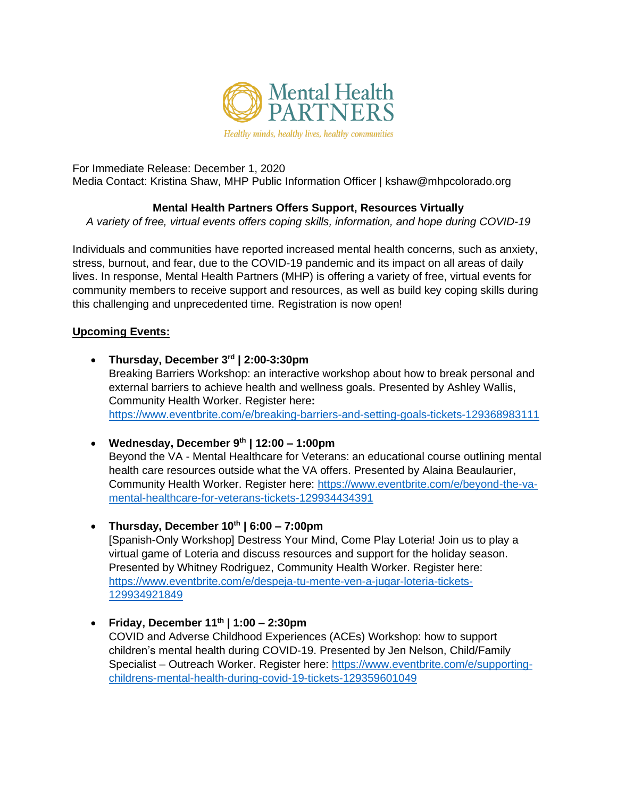

For Immediate Release: December 1, 2020 Media Contact: Kristina Shaw, MHP Public Information Officer | [kshaw@mhpcolorado.org](mailto:kshaw@mhpcolorado.org)

# **Mental Health Partners Offers Support, Resources Virtually**

*A variety of free, virtual events offers coping skills, information, and hope during COVID-19*

Individuals and communities have reported increased mental health concerns, such as anxiety, stress, burnout, and fear, due to the COVID-19 pandemic and its impact on all areas of daily lives. In response, Mental Health Partners (MHP) is offering a variety of free, virtual events for community members to receive support and resources, as well as build key coping skills during this challenging and unprecedented time. Registration is now open!

## **Upcoming Events:**

- **Thursday, December 3rd | 2:00-3:30pm** Breaking Barriers Workshop: an interactive workshop about how to break personal and external barriers to achieve health and wellness goals. Presented by Ashley Wallis, Community Health Worker. Register here**:**  <https://www.eventbrite.com/e/breaking-barriers-and-setting-goals-tickets-129368983111>
- **Wednesday, December 9th | 12:00 – 1:00pm** Beyond the VA - Mental Healthcare for Veterans: an educational course outlining mental health care resources outside what the VA offers. Presented by Alaina Beaulaurier, Community Health Worker. Register here: [https://www.eventbrite.com/e/beyond-the-va](https://www.eventbrite.com/e/beyond-the-va-mental-healthcare-for-veterans-tickets-129934434391)[mental-healthcare-for-veterans-tickets-129934434391](https://www.eventbrite.com/e/beyond-the-va-mental-healthcare-for-veterans-tickets-129934434391)
- **Thursday, December 10th | 6:00 – 7:00pm**

[Spanish-Only Workshop] Destress Your Mind, Come Play Loteria! Join us to play a virtual game of Loteria and discuss resources and support for the holiday season. Presented by Whitney Rodriguez, Community Health Worker. Register here: [https://www.eventbrite.com/e/despeja-tu-mente-ven-a-jugar-loteria-tickets-](https://www.eventbrite.com/e/despeja-tu-mente-ven-a-jugar-loteria-tickets-129934921849)[129934921849](https://www.eventbrite.com/e/despeja-tu-mente-ven-a-jugar-loteria-tickets-129934921849)

• **Friday, December 11th | 1:00 – 2:30pm** COVID and Adverse Childhood Experiences (ACEs) Workshop: how to support children's mental health during COVID-19. Presented by Jen Nelson, Child/Family Specialist – Outreach Worker. Register here: [https://www.eventbrite.com/e/supporting](https://www.eventbrite.com/e/supporting-childrens-mental-health-during-covid-19-tickets-129359601049)[childrens-mental-health-during-covid-19-tickets-129359601049](https://www.eventbrite.com/e/supporting-childrens-mental-health-during-covid-19-tickets-129359601049)